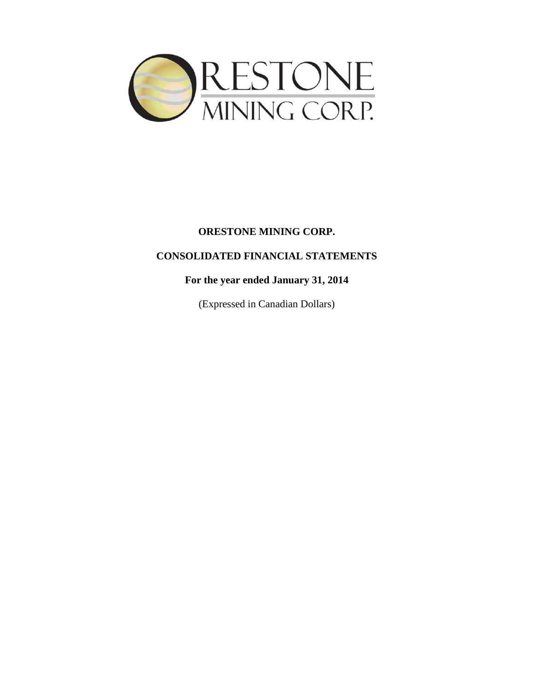

# **ORESTONE MINING CORP.**

# **CONSOLIDATED FINANCIAL STATEMENTS**

# **For the year ended January 31, 2014**

(Expressed in Canadian Dollars)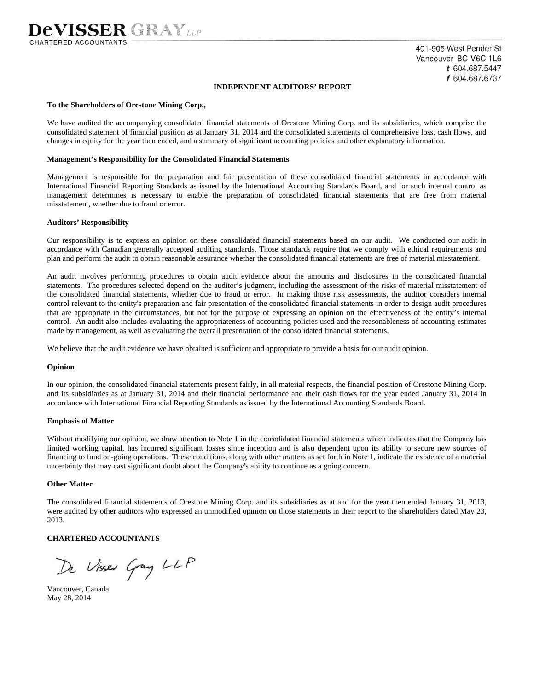#### **INDEPENDENT AUDITORS' REPORT**

#### **To the Shareholders of Orestone Mining Corp.,**

We have audited the accompanying consolidated financial statements of Orestone Mining Corp. and its subsidiaries, which comprise the consolidated statement of financial position as at January 31, 2014 and the consolidated statements of comprehensive loss, cash flows, and changes in equity for the year then ended, and a summary of significant accounting policies and other explanatory information.

#### **Management's Responsibility for the Consolidated Financial Statements**

Management is responsible for the preparation and fair presentation of these consolidated financial statements in accordance with International Financial Reporting Standards as issued by the International Accounting Standards Board, and for such internal control as management determines is necessary to enable the preparation of consolidated financial statements that are free from material misstatement, whether due to fraud or error.

#### **Auditors' Responsibility**

Our responsibility is to express an opinion on these consolidated financial statements based on our audit. We conducted our audit in accordance with Canadian generally accepted auditing standards. Those standards require that we comply with ethical requirements and plan and perform the audit to obtain reasonable assurance whether the consolidated financial statements are free of material misstatement.

An audit involves performing procedures to obtain audit evidence about the amounts and disclosures in the consolidated financial statements. The procedures selected depend on the auditor's judgment, including the assessment of the risks of material misstatement of the consolidated financial statements, whether due to fraud or error. In making those risk assessments, the auditor considers internal control relevant to the entity's preparation and fair presentation of the consolidated financial statements in order to design audit procedures that are appropriate in the circumstances, but not for the purpose of expressing an opinion on the effectiveness of the entity's internal control. An audit also includes evaluating the appropriateness of accounting policies used and the reasonableness of accounting estimates made by management, as well as evaluating the overall presentation of the consolidated financial statements.

We believe that the audit evidence we have obtained is sufficient and appropriate to provide a basis for our audit opinion.

#### **Opinion**

In our opinion, the consolidated financial statements present fairly, in all material respects, the financial position of Orestone Mining Corp. and its subsidiaries as at January 31, 2014 and their financial performance and their cash flows for the year ended January 31, 2014 in accordance with International Financial Reporting Standards as issued by the International Accounting Standards Board.

#### **Emphasis of Matter**

Without modifying our opinion, we draw attention to Note 1 in the consolidated financial statements which indicates that the Company has limited working capital, has incurred significant losses since inception and is also dependent upon its ability to secure new sources of financing to fund on-going operations. These conditions, along with other matters as set forth in Note 1, indicate the existence of a material uncertainty that may cast significant doubt about the Company's ability to continue as a going concern.

#### **Other Matter**

The consolidated financial statements of Orestone Mining Corp. and its subsidiaries as at and for the year then ended January 31, 2013, were audited by other auditors who expressed an unmodified opinion on those statements in their report to the shareholders dated May 23, 2013.

#### **CHARTERED ACCOUNTANTS**

De Visser Gray LLP

Vancouver, Canada May 28, 2014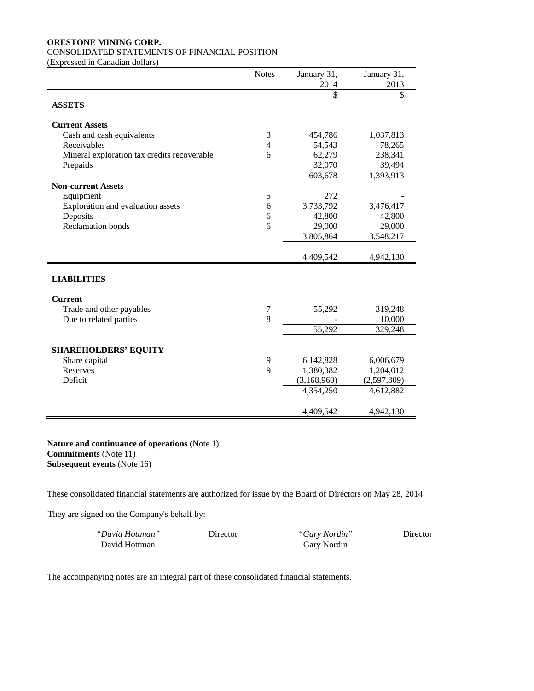# **ORESTONE MINING CORP.**

# CONSOLIDATED STATEMENTS OF FINANCIAL POSITION

(Expressed in Canadian dollars)

|                                             | <b>Notes</b>   | January 31, | January 31, |
|---------------------------------------------|----------------|-------------|-------------|
|                                             |                | 2014        | 2013        |
| <b>ASSETS</b>                               |                | \$          | \$          |
| <b>Current Assets</b>                       |                |             |             |
| Cash and cash equivalents                   | 3              | 454,786     | 1,037,813   |
| Receivables                                 | $\overline{4}$ | 54,543      | 78,265      |
| Mineral exploration tax credits recoverable | 6              | 62,279      | 238,341     |
| Prepaids                                    |                | 32,070      | 39,494      |
|                                             |                | 603,678     | 1,393,913   |
| <b>Non-current Assets</b>                   |                |             |             |
| Equipment                                   | 5              | 272         |             |
| Exploration and evaluation assets           | 6              | 3,733,792   | 3,476,417   |
| Deposits                                    | 6              | 42,800      | 42,800      |
| <b>Reclamation</b> bonds                    | 6              | 29,000      | 29,000      |
|                                             |                | 3,805,864   | 3,548,217   |
|                                             |                | 4,409,542   | 4,942,130   |
| <b>LIABILITIES</b>                          |                |             |             |
| <b>Current</b>                              |                |             |             |
| Trade and other payables                    | 7              | 55,292      | 319,248     |
| Due to related parties                      | 8              |             | 10,000      |
|                                             |                | 55,292      | 329,248     |
|                                             |                |             |             |
| <b>SHAREHOLDERS' EQUITY</b>                 |                |             |             |
| Share capital                               | 9              | 6,142,828   | 6,006,679   |
| <b>Reserves</b>                             | 9              | 1,380,382   | 1,204,012   |
| Deficit                                     |                | (3,168,960) | (2,597,809) |
|                                             |                | 4,354,250   | 4,612,882   |
|                                             |                |             |             |
|                                             |                | 4,409,542   | 4,942,130   |

**Nature and continuance of operations** (Note 1) **Commitments** (Note 11) **Subsequent events** (Note 16)

These consolidated financial statements are authorized for issue by the Board of Directors on May 28, 2014

They are signed on the Company's behalf by:

| "David Hottman" | Jirector | "Gary Nordin" | <b>Jirector</b> |
|-----------------|----------|---------------|-----------------|
| David Hottman   |          | Gary Nordin   |                 |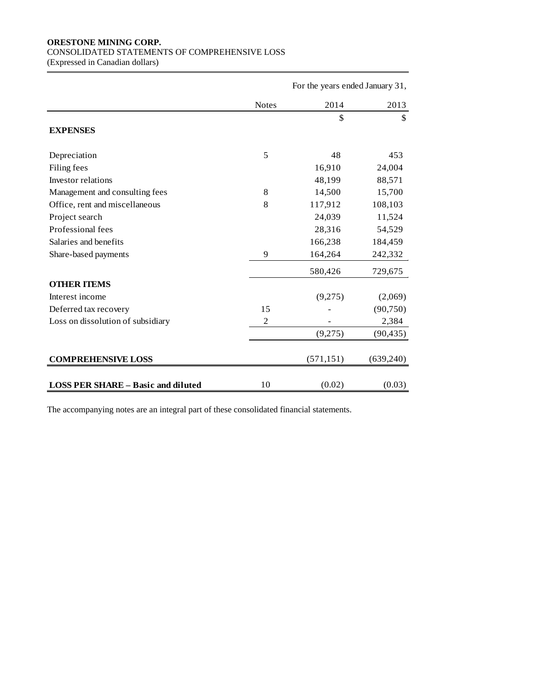# **ORESTONE MINING CORP.**  CONSOLIDATED STATEMENTS OF COMPREHENSIVE LOSS

(Expressed in Canadian dollars)

|                                           | For the years ended January 31, |            |           |  |
|-------------------------------------------|---------------------------------|------------|-----------|--|
|                                           | <b>Notes</b>                    | 2014       | 2013      |  |
|                                           |                                 | \$         | \$        |  |
| <b>EXPENSES</b>                           |                                 |            |           |  |
| Depreciation                              | 5                               | 48         | 453       |  |
| Filing fees                               |                                 | 16,910     | 24,004    |  |
| Investor relations                        |                                 | 48,199     | 88,571    |  |
| Management and consulting fees            | 8                               | 14,500     | 15,700    |  |
| Office, rent and miscellaneous            | 8                               | 117,912    | 108,103   |  |
| Project search                            |                                 | 24,039     | 11,524    |  |
| Professional fees                         |                                 | 28,316     | 54,529    |  |
| Salaries and benefits                     |                                 | 166,238    | 184,459   |  |
| Share-based payments                      | 9                               | 164,264    | 242,332   |  |
|                                           |                                 | 580,426    | 729,675   |  |
| <b>OTHER ITEMS</b>                        |                                 |            |           |  |
| Interest income                           |                                 | (9,275)    | (2,069)   |  |
| Deferred tax recovery                     | 15                              |            | (90, 750) |  |
| Loss on dissolution of subsidiary         | $\overline{2}$                  |            | 2,384     |  |
|                                           |                                 | (9,275)    | (90, 435) |  |
| <b>COMPREHENSIVE LOSS</b>                 |                                 | (571, 151) | (639,240) |  |
| <b>LOSS PER SHARE - Basic and diluted</b> | 10                              | (0.02)     | (0.03)    |  |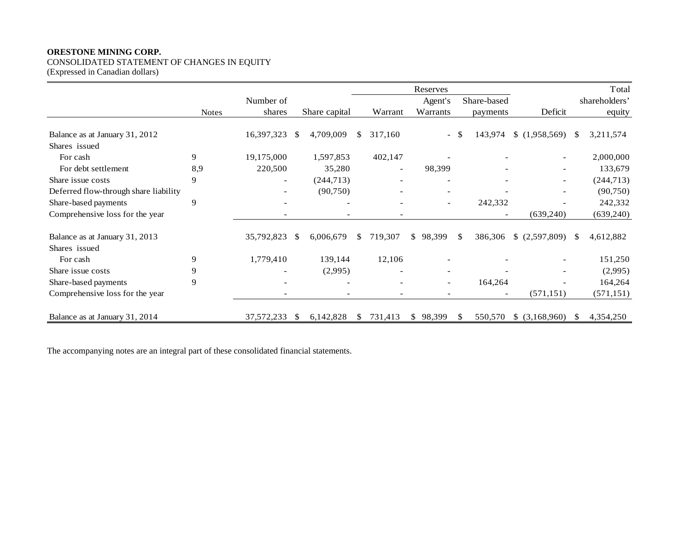## **ORESTONE MINING CORP.**

# CONSOLIDATED STATEMENT OF CHANGES IN EQUITY

(Expressed in Canadian dollars)

|                                       |              |                          |              |                          |    |                          | Reserves                 |               |             |                          |    | Total         |
|---------------------------------------|--------------|--------------------------|--------------|--------------------------|----|--------------------------|--------------------------|---------------|-------------|--------------------------|----|---------------|
|                                       |              | Number of                |              |                          |    |                          | Agent's                  |               | Share-based |                          |    | shareholders' |
|                                       | <b>Notes</b> | shares                   |              | Share capital            |    | Warrant                  | Warrants                 |               | payments    | Deficit                  |    | equity        |
|                                       |              |                          |              |                          |    |                          |                          |               |             |                          |    |               |
| Balance as at January 31, 2012        |              | 16,397,323               | \$.          | 4,709,009                | S. | 317,160                  | $\sim$                   | <sup>\$</sup> | 143,974     | \$(1,958,569)            | -S | 3,211,574     |
| Shares issued                         |              |                          |              |                          |    |                          |                          |               |             |                          |    |               |
| For cash                              | 9            | 19,175,000               |              | 1,597,853                |    | 402,147                  |                          |               |             |                          |    | 2,000,000     |
| For debt settlement                   | 8.9          | 220,500                  |              | 35,280                   |    | $\overline{\phantom{a}}$ | 98,399                   |               |             |                          |    | 133,679       |
| Share issue costs                     | 9            | $\overline{\phantom{a}}$ |              | (244, 713)               |    | $\overline{\phantom{a}}$ | $\overline{\phantom{a}}$ |               |             | $\overline{\phantom{0}}$ |    | (244, 713)    |
| Deferred flow-through share liability |              |                          |              | (90,750)                 |    |                          |                          |               |             |                          |    | (90,750)      |
| Share-based payments                  | 9            | $\overline{\phantom{a}}$ |              | $\overline{\phantom{a}}$ |    |                          | $\overline{\phantom{a}}$ |               | 242,332     |                          |    | 242,332       |
| Comprehensive loss for the year       |              | Ξ.                       |              | $\overline{\phantom{a}}$ |    | $\overline{\phantom{a}}$ |                          |               |             | (639,240)                |    | (639, 240)    |
| Balance as at January 31, 2013        |              | 35,792,823               | <sup>S</sup> | 6,006,679                | S. | 719,307                  | \$98,399                 | - \$          | 386,306     | (2,597,809)              | -S | 4,612,882     |
| Shares issued                         |              |                          |              |                          |    |                          |                          |               |             |                          |    |               |
| For cash                              | 9            | 1,779,410                |              | 139,144                  |    | 12,106                   |                          |               |             |                          |    | 151,250       |
| Share issue costs                     | 9            | $\overline{\phantom{a}}$ |              | (2,995)                  |    | $\overline{\phantom{a}}$ | $\overline{\phantom{a}}$ |               |             | $\overline{\phantom{a}}$ |    | (2,995)       |
| Share-based payments                  | 9            | -                        |              |                          |    |                          | $\overline{\phantom{0}}$ |               | 164,264     |                          |    | 164,264       |
| Comprehensive loss for the year       |              |                          |              |                          |    |                          |                          |               |             | (571, 151)               |    | (571, 151)    |
|                                       |              |                          |              |                          |    |                          |                          |               |             |                          |    |               |
| Balance as at January 31, 2014        |              | 37,572,233               | \$.          | 6,142,828                | S. | 731,413                  | \$98,399                 | <b>S</b>      | 550,570     | $$$ (3,168,960)          | -S | 4,354,250     |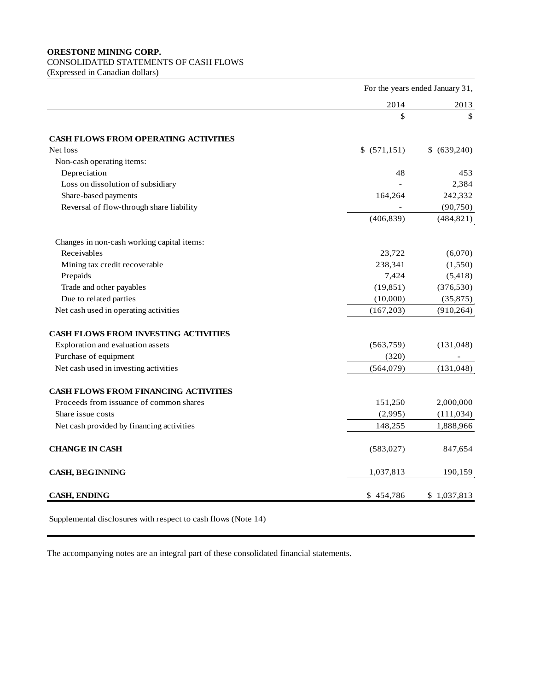# **ORESTONE MINING CORP.**

# CONSOLIDATED STATEMENTS OF CASH FLOWS

(Expressed in Canadian dollars)

|                                             | For the years ended January 31, |              |  |
|---------------------------------------------|---------------------------------|--------------|--|
|                                             | 2014                            | 2013         |  |
|                                             | \$                              | \$           |  |
| <b>CASH FLOWS FROM OPERATING ACTIVITIES</b> |                                 |              |  |
| Net loss                                    | \$ (571,151)                    | \$ (639,240) |  |
| Non-cash operating items:                   |                                 |              |  |
| Depreciation                                | 48                              | 453          |  |
| Loss on dissolution of subsidiary           |                                 | 2,384        |  |
| Share-based payments                        | 164,264                         | 242,332      |  |
| Reversal of flow-through share liability    |                                 | (90, 750)    |  |
|                                             | (406, 839)                      | (484, 821)   |  |
| Changes in non-cash working capital items:  |                                 |              |  |
| Receivables                                 | 23,722                          | (6,070)      |  |
| Mining tax credit recoverable               | 238,341                         | (1,550)      |  |
| Prepaids                                    | 7,424                           | (5, 418)     |  |
| Trade and other payables                    | (19, 851)                       | (376, 530)   |  |
| Due to related parties                      | (10,000)                        | (35, 875)    |  |
| Net cash used in operating activities       | (167, 203)                      | (910, 264)   |  |
| <b>CASH FLOWS FROM INVESTING ACTIVITIES</b> |                                 |              |  |
| Exploration and evaluation assets           | (563,759)                       | (131,048)    |  |
| Purchase of equipment                       | (320)                           |              |  |
| Net cash used in investing activities       | (564,079)                       | (131, 048)   |  |
| <b>CASH FLOWS FROM FINANCING ACTIVITIES</b> |                                 |              |  |
| Proceeds from issuance of common shares     | 151,250                         | 2,000,000    |  |
| Share issue costs                           | (2,995)                         | (111, 034)   |  |
| Net cash provided by financing activities   | 148,255                         | 1,888,966    |  |
| <b>CHANGE IN CASH</b>                       | (583, 027)                      | 847,654      |  |
| <b>CASH, BEGINNING</b>                      | 1,037,813                       | 190,159      |  |
| <b>CASH, ENDING</b>                         | \$454,786                       | \$1,037,813  |  |

Supplemental disclosures with respect to cash flows (Note 14)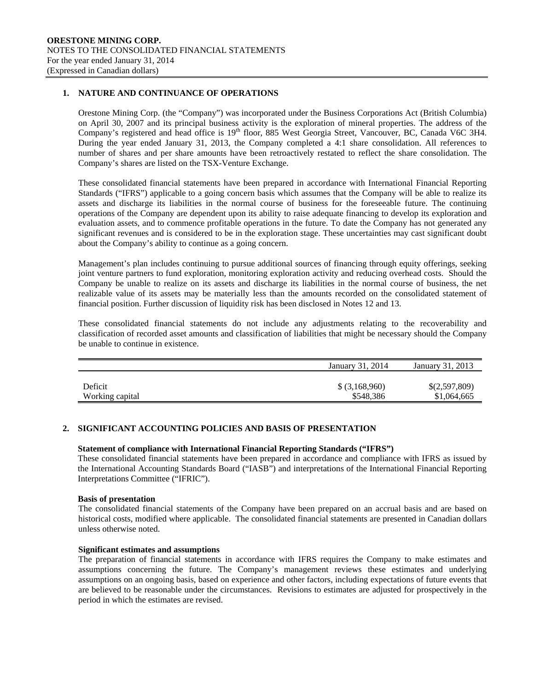# **1. NATURE AND CONTINUANCE OF OPERATIONS**

 Orestone Mining Corp. (the "Company") was incorporated under the Business Corporations Act (British Columbia) on April 30, 2007 and its principal business activity is the exploration of mineral properties. The address of the Company's registered and head office is 19<sup>th</sup> floor, 885 West Georgia Street, Vancouver, BC, Canada V6C 3H4. During the year ended January 31, 2013, the Company completed a 4:1 share consolidation. All references to number of shares and per share amounts have been retroactively restated to reflect the share consolidation. The Company's shares are listed on the TSX-Venture Exchange.

 These consolidated financial statements have been prepared in accordance with International Financial Reporting Standards ("IFRS") applicable to a going concern basis which assumes that the Company will be able to realize its assets and discharge its liabilities in the normal course of business for the foreseeable future. The continuing operations of the Company are dependent upon its ability to raise adequate financing to develop its exploration and evaluation assets, and to commence profitable operations in the future. To date the Company has not generated any significant revenues and is considered to be in the exploration stage. These uncertainties may cast significant doubt about the Company's ability to continue as a going concern.

 Management's plan includes continuing to pursue additional sources of financing through equity offerings, seeking joint venture partners to fund exploration, monitoring exploration activity and reducing overhead costs. Should the Company be unable to realize on its assets and discharge its liabilities in the normal course of business, the net realizable value of its assets may be materially less than the amounts recorded on the consolidated statement of financial position. Further discussion of liquidity risk has been disclosed in Notes 12 and 13.

 These consolidated financial statements do not include any adjustments relating to the recoverability and classification of recorded asset amounts and classification of liabilities that might be necessary should the Company be unable to continue in existence.

|                 | January 31, 2014 | January 31, 2013 |
|-----------------|------------------|------------------|
| Deficit         | $$$ (3,168,960)  | \$(2,597,809)    |
| Working capital | \$548,386        | \$1,064,665      |

## **2. SIGNIFICANT ACCOUNTING POLICIES AND BASIS OF PRESENTATION**

## **Statement of compliance with International Financial Reporting Standards ("IFRS")**

These consolidated financial statements have been prepared in accordance and compliance with IFRS as issued by the International Accounting Standards Board ("IASB") and interpretations of the International Financial Reporting Interpretations Committee ("IFRIC").

**Basis of presentation**<br>The consolidated financial statements of the Company have been prepared on an accrual basis and are based on historical costs, modified where applicable. The consolidated financial statements are presented in Canadian dollars unless otherwise noted.

## **Significant estimates and assumptions**

The preparation of financial statements in accordance with IFRS requires the Company to make estimates and assumptions concerning the future. The Company's management reviews these estimates and underlying assumptions on an ongoing basis, based on experience and other factors, including expectations of future events that are believed to be reasonable under the circumstances. Revisions to estimates are adjusted for prospectively in the period in which the estimates are revised.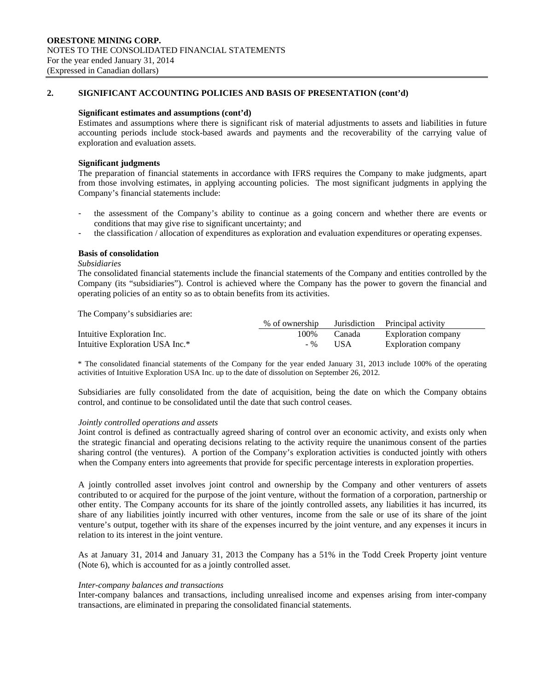#### **Significant estimates and assumptions (cont'd)**

Estimates and assumptions where there is significant risk of material adjustments to assets and liabilities in future accounting periods include stock-based awards and payments and the recoverability of the carrying value of exploration and evaluation assets.

#### **Significant judgments**

The preparation of financial statements in accordance with IFRS requires the Company to make judgments, apart from those involving estimates, in applying accounting policies. The most significant judgments in applying the Company's financial statements include:

- the assessment of the Company's ability to continue as a going concern and whether there are events or conditions that may give rise to significant uncertainty; and
- the classification / allocation of expenditures as exploration and evaluation expenditures or operating expenses.

## **Basis of consolidation**

#### *Subsidiaries*

The consolidated financial statements include the financial statements of the Company and entities controlled by the Company (its "subsidiaries"). Control is achieved where the Company has the power to govern the financial and operating policies of an entity so as to obtain benefits from its activities.

The Company's subsidiaries are:

|                                 | % of ownership |        | Jurisdiction Principal activity |
|---------------------------------|----------------|--------|---------------------------------|
| Intuitive Exploration Inc.      | 100%           | Canada | Exploration company             |
| Intuitive Exploration USA Inc.* | $-$ %          | USA    | Exploration company             |

\* The consolidated financial statements of the Company for the year ended January 31, 2013 include 100% of the operating activities of Intuitive Exploration USA Inc. up to the date of dissolution on September 26, 2012.

 Subsidiaries are fully consolidated from the date of acquisition, being the date on which the Company obtains control, and continue to be consolidated until the date that such control ceases.

# *Jointly controlled operations and assets*

Joint control is defined as contractually agreed sharing of control over an economic activity, and exists only when the strategic financial and operating decisions relating to the activity require the unanimous consent of the parties sharing control (the ventures). A portion of the Company's exploration activities is conducted jointly with others when the Company enters into agreements that provide for specific percentage interests in exploration properties.

A jointly controlled asset involves joint control and ownership by the Company and other venturers of assets contributed to or acquired for the purpose of the joint venture, without the formation of a corporation, partnership or other entity. The Company accounts for its share of the jointly controlled assets, any liabilities it has incurred, its share of any liabilities jointly incurred with other ventures, income from the sale or use of its share of the joint venture's output, together with its share of the expenses incurred by the joint venture, and any expenses it incurs in relation to its interest in the joint venture.

As at January 31, 2014 and January 31, 2013 the Company has a 51% in the Todd Creek Property joint venture (Note 6), which is accounted for as a jointly controlled asset.

#### *Inter-company balances and transactions*

Inter-company balances and transactions, including unrealised income and expenses arising from inter-company transactions, are eliminated in preparing the consolidated financial statements.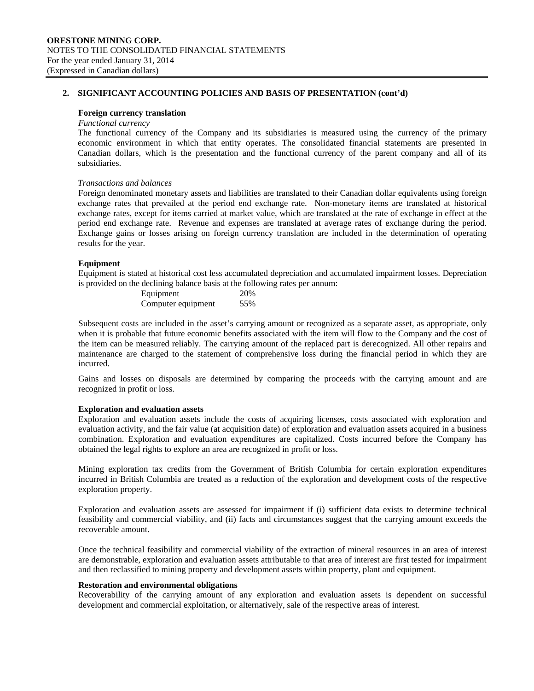#### **Foreign currency translation**

# *Functional currency*

The functional currency of the Company and its subsidiaries is measured using the currency of the primary economic environment in which that entity operates. The consolidated financial statements are presented in Canadian dollars, which is the presentation and the functional currency of the parent company and all of its subsidiaries.

#### *Transactions and balances*

 Foreign denominated monetary assets and liabilities are translated to their Canadian dollar equivalents using foreign exchange rates that prevailed at the period end exchange rate. Non-monetary items are translated at historical exchange rates, except for items carried at market value, which are translated at the rate of exchange in effect at the period end exchange rate. Revenue and expenses are translated at average rates of exchange during the period. Exchange gains or losses arising on foreign currency translation are included in the determination of operating results for the year.

#### **Equipment**

Equipment is stated at historical cost less accumulated depreciation and accumulated impairment losses. Depreciation is provided on the declining balance basis at the following rates per annum:

| Equipment          | 20% |
|--------------------|-----|
| Computer equipment | 55% |

Subsequent costs are included in the asset's carrying amount or recognized as a separate asset, as appropriate, only when it is probable that future economic benefits associated with the item will flow to the Company and the cost of the item can be measured reliably. The carrying amount of the replaced part is derecognized. All other repairs and maintenance are charged to the statement of comprehensive loss during the financial period in which they are incurred.

Gains and losses on disposals are determined by comparing the proceeds with the carrying amount and are recognized in profit or loss.

#### **Exploration and evaluation assets**

Exploration and evaluation assets include the costs of acquiring licenses, costs associated with exploration and evaluation activity, and the fair value (at acquisition date) of exploration and evaluation assets acquired in a business combination. Exploration and evaluation expenditures are capitalized. Costs incurred before the Company has obtained the legal rights to explore an area are recognized in profit or loss.

Mining exploration tax credits from the Government of British Columbia for certain exploration expenditures incurred in British Columbia are treated as a reduction of the exploration and development costs of the respective exploration property.

Exploration and evaluation assets are assessed for impairment if (i) sufficient data exists to determine technical feasibility and commercial viability, and (ii) facts and circumstances suggest that the carrying amount exceeds the recoverable amount.

Once the technical feasibility and commercial viability of the extraction of mineral resources in an area of interest are demonstrable, exploration and evaluation assets attributable to that area of interest are first tested for impairment and then reclassified to mining property and development assets within property, plant and equipment.

# **Restoration and environmental obligations**

Recoverability of the carrying amount of any exploration and evaluation assets is dependent on successful development and commercial exploitation, or alternatively, sale of the respective areas of interest.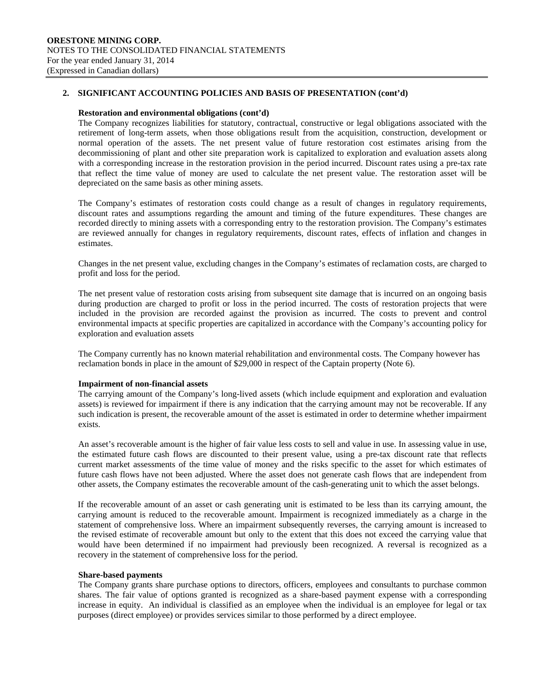#### **Restoration and environmental obligations (cont'd)**

The Company recognizes liabilities for statutory, contractual, constructive or legal obligations associated with the retirement of long-term assets, when those obligations result from the acquisition, construction, development or normal operation of the assets. The net present value of future restoration cost estimates arising from the decommissioning of plant and other site preparation work is capitalized to exploration and evaluation assets along with a corresponding increase in the restoration provision in the period incurred. Discount rates using a pre-tax rate that reflect the time value of money are used to calculate the net present value. The restoration asset will be depreciated on the same basis as other mining assets.

The Company's estimates of restoration costs could change as a result of changes in regulatory requirements, discount rates and assumptions regarding the amount and timing of the future expenditures. These changes are recorded directly to mining assets with a corresponding entry to the restoration provision. The Company's estimates are reviewed annually for changes in regulatory requirements, discount rates, effects of inflation and changes in estimates.

Changes in the net present value, excluding changes in the Company's estimates of reclamation costs, are charged to profit and loss for the period.

The net present value of restoration costs arising from subsequent site damage that is incurred on an ongoing basis during production are charged to profit or loss in the period incurred. The costs of restoration projects that were included in the provision are recorded against the provision as incurred. The costs to prevent and control environmental impacts at specific properties are capitalized in accordance with the Company's accounting policy for exploration and evaluation assets

The Company currently has no known material rehabilitation and environmental costs. The Company however has reclamation bonds in place in the amount of \$29,000 in respect of the Captain property (Note 6).

## **Impairment of non-financial assets**

The carrying amount of the Company's long-lived assets (which include equipment and exploration and evaluation assets) is reviewed for impairment if there is any indication that the carrying amount may not be recoverable. If any such indication is present, the recoverable amount of the asset is estimated in order to determine whether impairment exists.

 An asset's recoverable amount is the higher of fair value less costs to sell and value in use. In assessing value in use, the estimated future cash flows are discounted to their present value, using a pre-tax discount rate that reflects current market assessments of the time value of money and the risks specific to the asset for which estimates of future cash flows have not been adjusted. Where the asset does not generate cash flows that are independent from other assets, the Company estimates the recoverable amount of the cash-generating unit to which the asset belongs.

If the recoverable amount of an asset or cash generating unit is estimated to be less than its carrying amount, the carrying amount is reduced to the recoverable amount. Impairment is recognized immediately as a charge in the statement of comprehensive loss. Where an impairment subsequently reverses, the carrying amount is increased to the revised estimate of recoverable amount but only to the extent that this does not exceed the carrying value that would have been determined if no impairment had previously been recognized. A reversal is recognized as a recovery in the statement of comprehensive loss for the period.

#### **Share-based payments**

 The Company grants share purchase options to directors, officers, employees and consultants to purchase common shares. The fair value of options granted is recognized as a share-based payment expense with a corresponding increase in equity. An individual is classified as an employee when the individual is an employee for legal or tax purposes (direct employee) or provides services similar to those performed by a direct employee.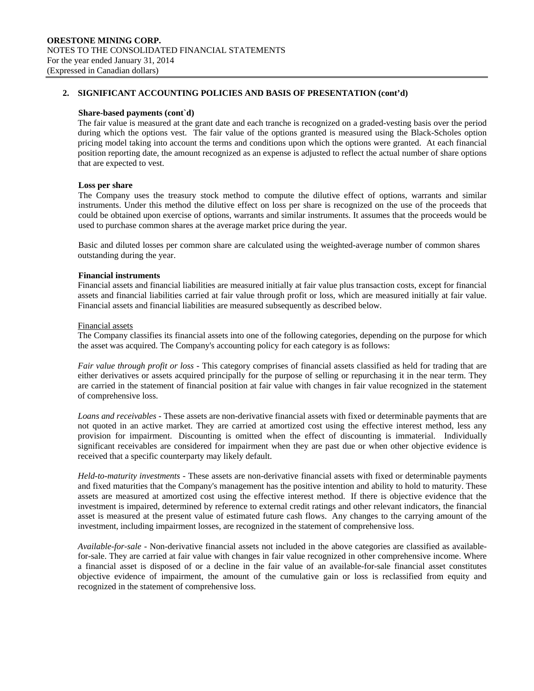#### **Share-based payments (cont`d)**

The fair value is measured at the grant date and each tranche is recognized on a graded-vesting basis over the period during which the options vest. The fair value of the options granted is measured using the Black-Scholes option pricing model taking into account the terms and conditions upon which the options were granted. At each financial position reporting date, the amount recognized as an expense is adjusted to reflect the actual number of share options that are expected to vest.

## **Loss per share**

 The Company uses the treasury stock method to compute the dilutive effect of options, warrants and similar instruments. Under this method the dilutive effect on loss per share is recognized on the use of the proceeds that could be obtained upon exercise of options, warrants and similar instruments. It assumes that the proceeds would be used to purchase common shares at the average market price during the year.

 Basic and diluted losses per common share are calculated using the weighted-average number of common shares outstanding during the year.

**Financial instruments**<br>Financial assets and financial liabilities are measured initially at fair value plus transaction costs, except for financial assets and financial liabilities carried at fair value through profit or loss, which are measured initially at fair value. Financial assets and financial liabilities are measured subsequently as described below.

#### Financial assets

The Company classifies its financial assets into one of the following categories, depending on the purpose for which the asset was acquired. The Company's accounting policy for each category is as follows:

*Fair value through profit or loss* - This category comprises of financial assets classified as held for trading that are either derivatives or assets acquired principally for the purpose of selling or repurchasing it in the near term. They are carried in the statement of financial position at fair value with changes in fair value recognized in the statement of comprehensive loss.

*Loans and receivables* - These assets are non-derivative financial assets with fixed or determinable payments that are not quoted in an active market. They are carried at amortized cost using the effective interest method, less any provision for impairment. Discounting is omitted when the effect of discounting is immaterial. Individually significant receivables are considered for impairment when they are past due or when other objective evidence is received that a specific counterparty may likely default.

*Held-to-maturity investments* - These assets are non-derivative financial assets with fixed or determinable payments and fixed maturities that the Company's management has the positive intention and ability to hold to maturity. These assets are measured at amortized cost using the effective interest method. If there is objective evidence that the investment is impaired, determined by reference to external credit ratings and other relevant indicators, the financial asset is measured at the present value of estimated future cash flows. Any changes to the carrying amount of the investment, including impairment losses, are recognized in the statement of comprehensive loss.

*Available-for-sale* - Non-derivative financial assets not included in the above categories are classified as availablefor-sale. They are carried at fair value with changes in fair value recognized in other comprehensive income. Where a financial asset is disposed of or a decline in the fair value of an available-for-sale financial asset constitutes objective evidence of impairment, the amount of the cumulative gain or loss is reclassified from equity and recognized in the statement of comprehensive loss.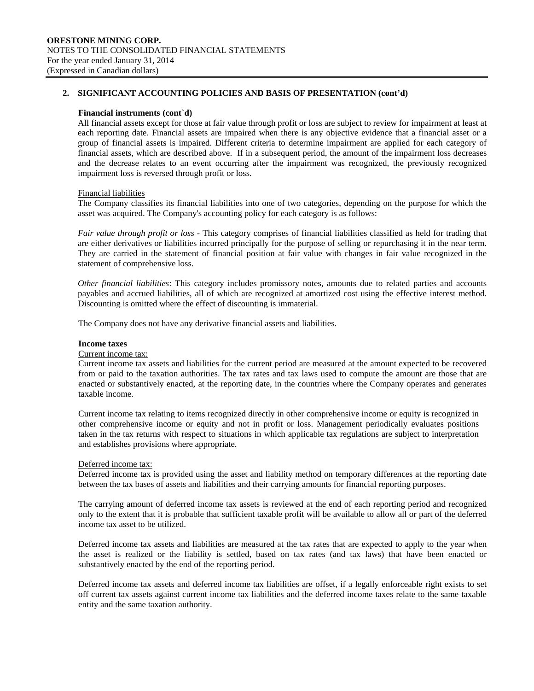#### **Financial instruments (cont`d)**

All financial assets except for those at fair value through profit or loss are subject to review for impairment at least at each reporting date. Financial assets are impaired when there is any objective evidence that a financial asset or a group of financial assets is impaired. Different criteria to determine impairment are applied for each category of financial assets, which are described above. If in a subsequent period, the amount of the impairment loss decreases and the decrease relates to an event occurring after the impairment was recognized, the previously recognized impairment loss is reversed through profit or loss.

#### Financial liabilities

The Company classifies its financial liabilities into one of two categories, depending on the purpose for which the asset was acquired. The Company's accounting policy for each category is as follows:

*Fair value through profit or loss* - This category comprises of financial liabilities classified as held for trading that are either derivatives or liabilities incurred principally for the purpose of selling or repurchasing it in the near term. They are carried in the statement of financial position at fair value with changes in fair value recognized in the statement of comprehensive loss.

*Other financial liabilities*: This category includes promissory notes, amounts due to related parties and accounts payables and accrued liabilities, all of which are recognized at amortized cost using the effective interest method. Discounting is omitted where the effect of discounting is immaterial.

The Company does not have any derivative financial assets and liabilities.

#### **Income taxes**

# Current income tax:

Current income tax assets and liabilities for the current period are measured at the amount expected to be recovered from or paid to the taxation authorities. The tax rates and tax laws used to compute the amount are those that are enacted or substantively enacted, at the reporting date, in the countries where the Company operates and generates taxable income.

Current income tax relating to items recognized directly in other comprehensive income or equity is recognized in other comprehensive income or equity and not in profit or loss. Management periodically evaluates positions taken in the tax returns with respect to situations in which applicable tax regulations are subject to interpretation and establishes provisions where appropriate.

#### Deferred income tax:

Deferred income tax is provided using the asset and liability method on temporary differences at the reporting date between the tax bases of assets and liabilities and their carrying amounts for financial reporting purposes.

The carrying amount of deferred income tax assets is reviewed at the end of each reporting period and recognized only to the extent that it is probable that sufficient taxable profit will be available to allow all or part of the deferred income tax asset to be utilized.

Deferred income tax assets and liabilities are measured at the tax rates that are expected to apply to the year when the asset is realized or the liability is settled, based on tax rates (and tax laws) that have been enacted or substantively enacted by the end of the reporting period.

Deferred income tax assets and deferred income tax liabilities are offset, if a legally enforceable right exists to set off current tax assets against current income tax liabilities and the deferred income taxes relate to the same taxable entity and the same taxation authority.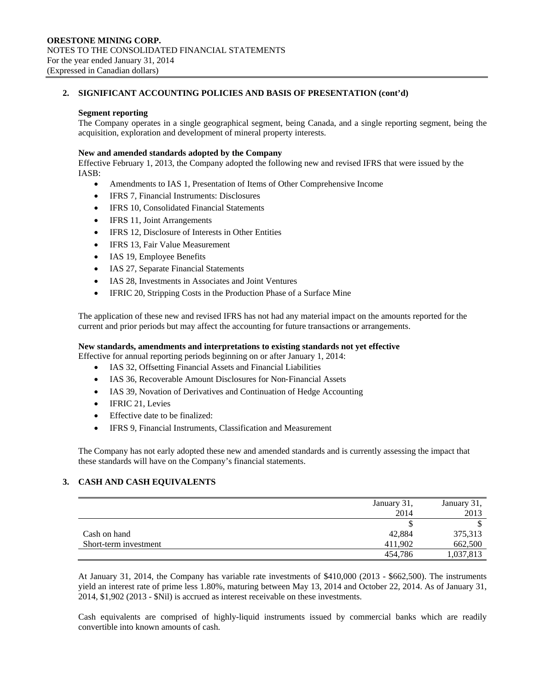#### **Segment reporting**

The Company operates in a single geographical segment, being Canada, and a single reporting segment, being the acquisition, exploration and development of mineral property interests.

#### **New and amended standards adopted by the Company**

Effective February 1, 2013, the Company adopted the following new and revised IFRS that were issued by the IASB:

- Amendments to IAS 1, Presentation of Items of Other Comprehensive Income
- IFRS 7, Financial Instruments: Disclosures
- IFRS 10, Consolidated Financial Statements
- IFRS 11, Joint Arrangements
- IFRS 12, Disclosure of Interests in Other Entities
- IFRS 13, Fair Value Measurement
- IAS 19, Employee Benefits
- IAS 27, Separate Financial Statements
- IAS 28, Investments in Associates and Joint Ventures
- IFRIC 20, Stripping Costs in the Production Phase of a Surface Mine

The application of these new and revised IFRS has not had any material impact on the amounts reported for the current and prior periods but may affect the accounting for future transactions or arrangements.

# **New standards, amendments and interpretations to existing standards not yet effective**

- Effective for annual reporting periods beginning on or after January 1, 2014:
	- IAS 32, Offsetting Financial Assets and Financial Liabilities
	- IAS 36, Recoverable Amount Disclosures for Non‐Financial Assets
	- IAS 39, Novation of Derivatives and Continuation of Hedge Accounting
	- IFRIC 21, Levies
	- Effective date to be finalized:
	- IFRS 9, Financial Instruments, Classification and Measurement

The Company has not early adopted these new and amended standards and is currently assessing the impact that these standards will have on the Company's financial statements.

# **3. CASH AND CASH EQUIVALENTS**

|                       | January 31, | January 31, |
|-----------------------|-------------|-------------|
|                       | 2014        | 2013        |
|                       |             |             |
| Cash on hand          | 42,884      | 375,313     |
| Short-term investment | 411,902     | 662,500     |
|                       | 454,786     | 1,037,813   |

At January 31, 2014, the Company has variable rate investments of \$410,000 (2013 - \$662,500). The instruments yield an interest rate of prime less 1.80%, maturing between May 13, 2014 and October 22, 2014. As of January 31, 2014, \$1,902 (2013 - \$Nil) is accrued as interest receivable on these investments.

Cash equivalents are comprised of highly-liquid instruments issued by commercial banks which are readily convertible into known amounts of cash.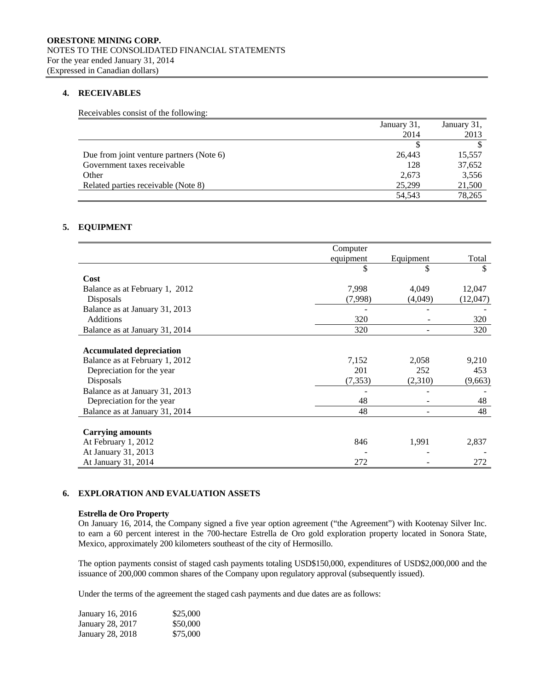# **4. RECEIVABLES**

Receivables consist of the following:

|                                          | January 31, | January 31, |
|------------------------------------------|-------------|-------------|
|                                          | 2014        | 2013        |
|                                          |             |             |
| Due from joint venture partners (Note 6) | 26,443      | 15,557      |
| Government taxes receivable              | 128         | 37,652      |
| Other                                    | 2.673       | 3,556       |
| Related parties receivable (Note 8)      | 25,299      | 21,500      |
|                                          | 54,543      | 78,265      |

# **5. EQUIPMENT**

|                                 | Computer  |           |          |
|---------------------------------|-----------|-----------|----------|
|                                 | equipment | Equipment | Total    |
|                                 | \$        | S         | S        |
| Cost                            |           |           |          |
| Balance as at February 1, 2012  | 7,998     | 4,049     | 12,047   |
| Disposals                       | (7,998)   | (4,049)   | (12,047) |
| Balance as at January 31, 2013  |           |           |          |
| <b>Additions</b>                | 320       |           | 320      |
| Balance as at January 31, 2014  | 320       |           | 320      |
|                                 |           |           |          |
| <b>Accumulated depreciation</b> |           |           |          |
| Balance as at February 1, 2012  | 7,152     | 2,058     | 9,210    |
| Depreciation for the year       | 201       | 252       | 453      |
| <b>Disposals</b>                | (7, 353)  | (2,310)   | (9,663)  |
| Balance as at January 31, 2013  |           |           |          |
| Depreciation for the year       | 48        |           | 48       |
| Balance as at January 31, 2014  | 48        |           | 48       |
|                                 |           |           |          |
| <b>Carrying amounts</b>         |           |           |          |
| At February 1, 2012             | 846       | 1,991     | 2,837    |
| At January 31, 2013             |           |           |          |
| At January 31, 2014             | 272       |           | 272      |

# **6. EXPLORATION AND EVALUATION ASSETS**

#### **Estrella de Oro Property**

On January 16, 2014, the Company signed a five year option agreement ("the Agreement") with Kootenay Silver Inc. to earn a 60 percent interest in the 700-hectare Estrella de Oro gold exploration property located in Sonora State, Mexico, approximately 200 kilometers southeast of the city of Hermosillo.

The option payments consist of staged cash payments totaling USD\$150,000, expenditures of USD\$2,000,000 and the issuance of 200,000 common shares of the Company upon regulatory approval (subsequently issued).

Under the terms of the agreement the staged cash payments and due dates are as follows:

| January 16, 2016 | \$25,000 |
|------------------|----------|
| January 28, 2017 | \$50,000 |
| January 28, 2018 | \$75,000 |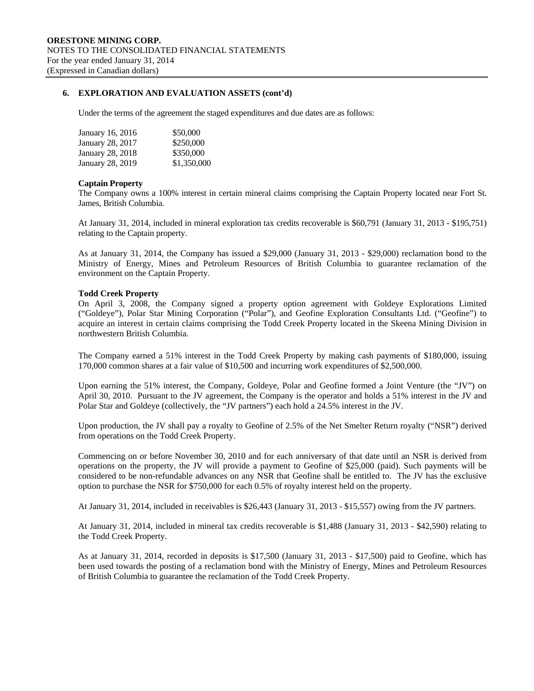## **6. EXPLORATION AND EVALUATION ASSETS (cont'd)**

Under the terms of the agreement the staged expenditures and due dates are as follows:

| January 16, 2016        | \$50,000    |
|-------------------------|-------------|
| January 28, 2017        | \$250,000   |
| January 28, 2018        | \$350,000   |
| <b>January 28, 2019</b> | \$1,350,000 |

#### **Captain Property**

The Company owns a 100% interest in certain mineral claims comprising the Captain Property located near Fort St. James, British Columbia.

At January 31, 2014, included in mineral exploration tax credits recoverable is \$60,791 (January 31, 2013 - \$195,751) relating to the Captain property.

As at January 31, 2014, the Company has issued a \$29,000 (January 31, 2013 - \$29,000) reclamation bond to the Ministry of Energy, Mines and Petroleum Resources of British Columbia to guarantee reclamation of the environment on the Captain Property.

#### **Todd Creek Property**

 On April 3, 2008, the Company signed a property option agreement with Goldeye Explorations Limited ("Goldeye"), Polar Star Mining Corporation ("Polar"), and Geofine Exploration Consultants Ltd. ("Geofine") to acquire an interest in certain claims comprising the Todd Creek Property located in the Skeena Mining Division in northwestern British Columbia.

 The Company earned a 51% interest in the Todd Creek Property by making cash payments of \$180,000, issuing 170,000 common shares at a fair value of \$10,500 and incurring work expenditures of \$2,500,000.

 Upon earning the 51% interest, the Company, Goldeye, Polar and Geofine formed a Joint Venture (the "JV") on April 30, 2010. Pursuant to the JV agreement, the Company is the operator and holds a 51% interest in the JV and Polar Star and Goldeye (collectively, the "JV partners") each hold a 24.5% interest in the JV.

Upon production, the JV shall pay a royalty to Geofine of 2.5% of the Net Smelter Return royalty ("NSR") derived from operations on the Todd Creek Property.

Commencing on or before November 30, 2010 and for each anniversary of that date until an NSR is derived from operations on the property, the JV will provide a payment to Geofine of \$25,000 (paid). Such payments will be considered to be non-refundable advances on any NSR that Geofine shall be entitled to. The JV has the exclusive option to purchase the NSR for \$750,000 for each 0.5% of royalty interest held on the property.

At January 31, 2014, included in receivables is \$26,443 (January 31, 2013 - \$15,557) owing from the JV partners.

At January 31, 2014, included in mineral tax credits recoverable is \$1,488 (January 31, 2013 - \$42,590) relating to the Todd Creek Property.

As at January 31, 2014, recorded in deposits is \$17,500 (January 31, 2013 - \$17,500) paid to Geofine, which has been used towards the posting of a reclamation bond with the Ministry of Energy, Mines and Petroleum Resources of British Columbia to guarantee the reclamation of the Todd Creek Property.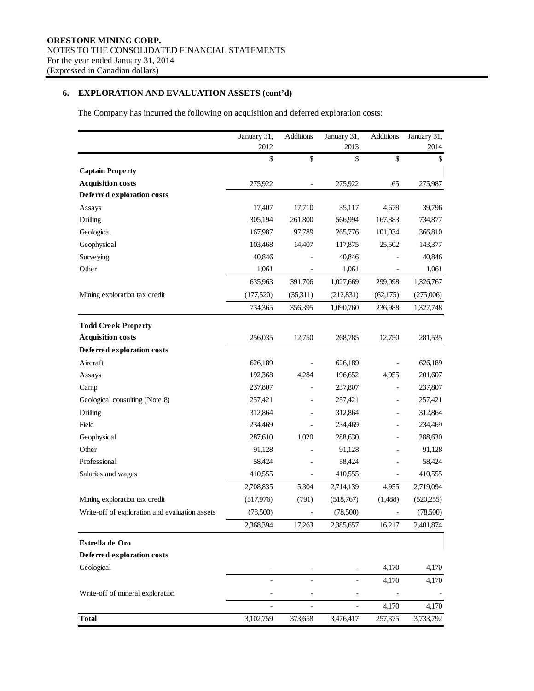# **6. EXPLORATION AND EVALUATION ASSETS (cont'd)**

The Company has incurred the following on acquisition and deferred exploration costs:

|                                                | January 31,                  | Additions                    | January 31,    | <b>Additions</b>         | January 31, |
|------------------------------------------------|------------------------------|------------------------------|----------------|--------------------------|-------------|
|                                                | 2012                         |                              | 2013           |                          | 2014        |
|                                                | \$                           | \$                           | \$             | \$                       | \$          |
| <b>Captain Property</b>                        |                              |                              |                |                          |             |
| <b>Acquisition costs</b>                       | 275,922                      |                              | 275,922        | 65                       | 275,987     |
| Deferred exploration costs                     |                              |                              |                |                          |             |
| Assays                                         | 17,407                       | 17,710                       | 35,117         | 4,679                    | 39,796      |
| Drilling                                       | 305,194                      | 261,800                      | 566,994        | 167,883                  | 734,877     |
| Geological                                     | 167,987                      | 97,789                       | 265,776        | 101,034                  | 366,810     |
| Geophysical                                    | 103,468                      | 14,407                       | 117,875        | 25,502                   | 143,377     |
| Surveying                                      | 40,846                       |                              | 40,846         |                          | 40,846      |
| Other                                          | 1,061                        |                              | 1,061          |                          | 1,061       |
|                                                | 635,963                      | 391,706                      | 1,027,669      | 299,098                  | 1,326,767   |
| Mining exploration tax credit                  | (177,520)                    | (35,311)                     | (212, 831)     | (62, 175)                | (275,006)   |
|                                                | 734,365                      | 356,395                      | 1,090,760      | 236,988                  | 1,327,748   |
| <b>Todd Creek Property</b>                     |                              |                              |                |                          |             |
| <b>Acquisition costs</b>                       | 256,035                      | 12,750                       | 268,785        | 12,750                   | 281,535     |
| Deferred exploration costs                     |                              |                              |                |                          |             |
| Aircraft                                       | 626,189                      |                              | 626,189        |                          | 626,189     |
| Assays                                         | 192,368                      | 4,284                        | 196,652        | 4,955                    | 201,607     |
| Camp                                           | 237,807                      |                              | 237,807        | $\frac{1}{2}$            | 237,807     |
| Geological consulting (Note 8)                 | 257,421                      |                              | 257,421        | $\overline{a}$           | 257,421     |
| Drilling                                       | 312,864                      |                              | 312,864        | $\overline{\phantom{m}}$ | 312,864     |
| Field                                          | 234,469                      |                              | 234,469        |                          | 234,469     |
| Geophysical                                    | 287,610                      | 1,020                        | 288,630        |                          | 288,630     |
| Other                                          | 91,128                       |                              | 91,128         |                          | 91,128      |
| Professional                                   | 58,424                       |                              | 58,424         |                          | 58,424      |
| Salaries and wages                             | 410,555                      |                              | 410,555        | $\frac{1}{2}$            | 410,555     |
|                                                | 2,708,835                    | 5,304                        | 2,714,139      | 4,955                    | 2,719,094   |
| Mining exploration tax credit                  | (517,976)                    | (791)                        | (518, 767)     | (1,488)                  | (520, 255)  |
| Write-off of exploration and evaluation assets | (78,500)                     |                              | (78,500)       | $\overline{\phantom{a}}$ | (78,500)    |
|                                                | 2,368,394                    | 17,263                       | 2,385,657      | 16,217                   | 2,401,874   |
| Estrella de Oro                                |                              |                              |                |                          |             |
| Deferred exploration costs                     |                              |                              |                |                          |             |
| Geological                                     |                              |                              |                | 4,170                    | 4,170       |
|                                                |                              |                              | $\blacksquare$ | 4,170                    | 4,170       |
| Write-off of mineral exploration               |                              |                              |                |                          |             |
|                                                | $\qquad \qquad \blacksquare$ | $\qquad \qquad \blacksquare$ | $\blacksquare$ | 4,170                    | 4,170       |
| <b>Total</b>                                   | 3,102,759                    | 373,658                      | 3,476,417      | 257,375                  | 3,733,792   |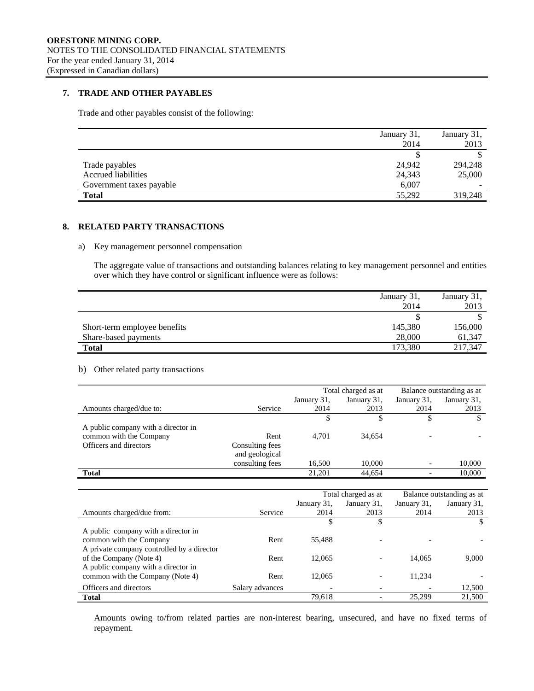# **7. TRADE AND OTHER PAYABLES**

Trade and other payables consist of the following:

|                          | January 31, | January 31, |
|--------------------------|-------------|-------------|
|                          | 2014        | 2013        |
|                          |             |             |
| Trade payables           | 24,942      | 294,248     |
| Accrued liabilities      | 24,343      | 25,000      |
| Government taxes payable | 6.007       | -           |
| <b>Total</b>             | 55,292      | 319,248     |

# **8. RELATED PARTY TRANSACTIONS**

#### a) Key management personnel compensation

The aggregate value of transactions and outstanding balances relating to key management personnel and entities over which they have control or significant influence were as follows:

|                              | January 31, | January 31, |
|------------------------------|-------------|-------------|
|                              | 2014        | 2013        |
|                              |             |             |
| Short-term employee benefits | 145,380     | 156,000     |
| Share-based payments         | 28,000      | 61,347      |
| <b>Total</b>                 | 173,380     | 217,347     |

# b) Other related party transactions

|                                     |                 | Total charged as at |             | Balance outstanding as at |             |  |
|-------------------------------------|-----------------|---------------------|-------------|---------------------------|-------------|--|
|                                     |                 | January 31,         | January 31, | January 31,               | January 31, |  |
| Amounts charged/due to:             | <b>Service</b>  | 2014                | 2013        | 2014                      | 2013        |  |
|                                     |                 |                     |             | D                         | \$          |  |
| A public company with a director in |                 |                     |             |                           |             |  |
| common with the Company             | Rent            | 4.701               | 34,654      | $\overline{\phantom{a}}$  |             |  |
| Officers and directors              | Consulting fees |                     |             |                           |             |  |
|                                     | and geological  |                     |             |                           |             |  |
|                                     | consulting fees | 16,500              | 10,000      |                           | 10,000      |  |
| <b>Total</b>                        |                 | 21,201              | 44.654      |                           | 10.000      |  |

|                                            |                 |             | Total charged as at | Balance outstanding as at |             |
|--------------------------------------------|-----------------|-------------|---------------------|---------------------------|-------------|
|                                            |                 | January 31, | January 31,         | January 31,               | January 31, |
| Amounts charged/due from:                  | Service         | 2014        | 2013                | 2014                      | 2013        |
|                                            |                 |             |                     |                           |             |
| A public company with a director in        |                 |             |                     |                           |             |
| common with the Company                    | Rent            | 55,488      |                     |                           |             |
| A private company controlled by a director |                 |             |                     |                           |             |
| of the Company (Note 4)                    | Rent            | 12,065      |                     | 14.065                    | 9.000       |
| A public company with a director in        |                 |             |                     |                           |             |
| common with the Company (Note 4)           | Rent            | 12,065      |                     | 11.234                    |             |
| Officers and directors                     | Salary advances |             |                     | $\overline{\phantom{0}}$  | 12,500      |
| <b>Total</b>                               |                 | 79.618      |                     | 25,299                    | 21,500      |

Amounts owing to/from related parties are non-interest bearing, unsecured, and have no fixed terms of repayment.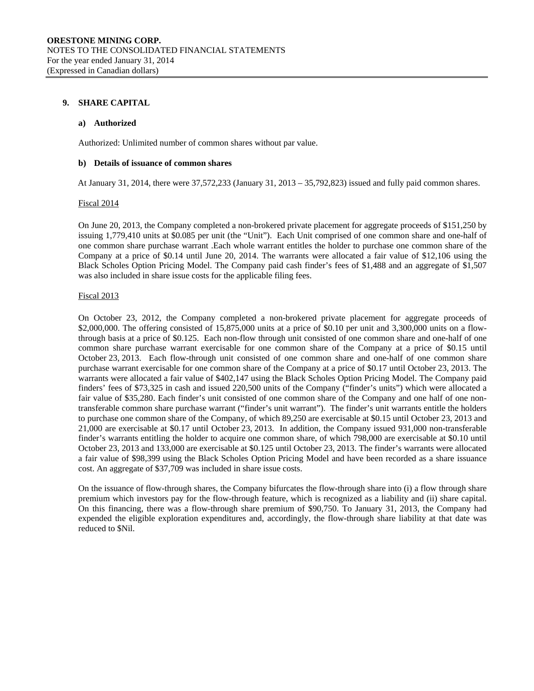# **9. SHARE CAPITAL**

# **a) Authorized**

Authorized: Unlimited number of common shares without par value.

#### **b) Details of issuance of common shares**

At January 31, 2014, there were 37,572,233 (January 31, 2013 – 35,792,823) issued and fully paid common shares.

#### Fiscal 2014

On June 20, 2013, the Company completed a non-brokered private placement for aggregate proceeds of \$151,250 by issuing 1,779,410 units at \$0.085 per unit (the "Unit"). Each Unit comprised of one common share and one-half of one common share purchase warrant .Each whole warrant entitles the holder to purchase one common share of the Company at a price of \$0.14 until June 20, 2014. The warrants were allocated a fair value of \$12,106 using the Black Scholes Option Pricing Model. The Company paid cash finder's fees of \$1,488 and an aggregate of \$1,507 was also included in share issue costs for the applicable filing fees.

## Fiscal 2013

On October 23, 2012, the Company completed a non-brokered private placement for aggregate proceeds of \$2,000,000. The offering consisted of 15,875,000 units at a price of \$0.10 per unit and 3,300,000 units on a flowthrough basis at a price of \$0.125. Each non-flow through unit consisted of one common share and one-half of one common share purchase warrant exercisable for one common share of the Company at a price of \$0.15 until October 23, 2013. Each flow-through unit consisted of one common share and one-half of one common share purchase warrant exercisable for one common share of the Company at a price of \$0.17 until October 23, 2013. The warrants were allocated a fair value of \$402,147 using the Black Scholes Option Pricing Model. The Company paid finders' fees of \$73,325 in cash and issued 220,500 units of the Company ("finder's units") which were allocated a fair value of \$35,280. Each finder's unit consisted of one common share of the Company and one half of one nontransferable common share purchase warrant ("finder's unit warrant"). The finder's unit warrants entitle the holders to purchase one common share of the Company, of which 89,250 are exercisable at \$0.15 until October 23, 2013 and 21,000 are exercisable at \$0.17 until October 23, 2013. In addition, the Company issued 931,000 non-transferable finder's warrants entitling the holder to acquire one common share, of which 798,000 are exercisable at \$0.10 until October 23, 2013 and 133,000 are exercisable at \$0.125 until October 23, 2013. The finder's warrants were allocated a fair value of \$98,399 using the Black Scholes Option Pricing Model and have been recorded as a share issuance cost. An aggregate of \$37,709 was included in share issue costs.

On the issuance of flow-through shares, the Company bifurcates the flow-through share into (i) a flow through share premium which investors pay for the flow-through feature, which is recognized as a liability and (ii) share capital. On this financing, there was a flow-through share premium of \$90,750. To January 31, 2013, the Company had expended the eligible exploration expenditures and, accordingly, the flow-through share liability at that date was reduced to \$Nil.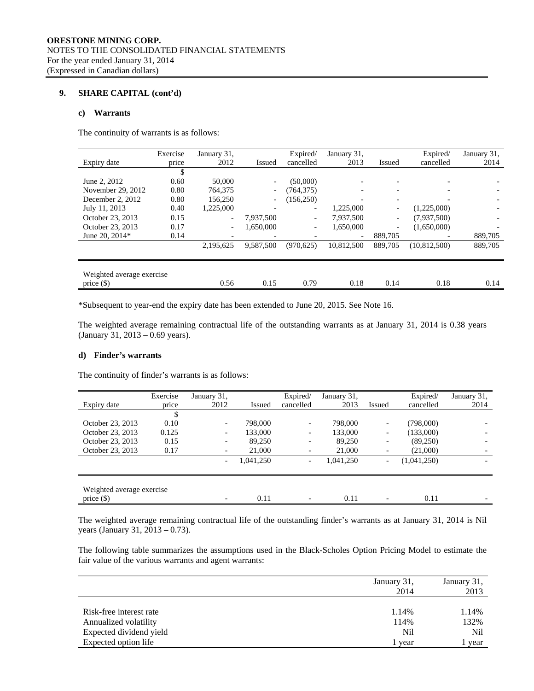# **9. SHARE CAPITAL (cont'd)**

#### **c) Warrants**

The continuity of warrants is as follows:

|                           | Exercise | January 31,              |                          | Expired/                 | January 31,              |                          | Expired/       | January 31, |
|---------------------------|----------|--------------------------|--------------------------|--------------------------|--------------------------|--------------------------|----------------|-------------|
| Expiry date               | price    | 2012                     | Issued                   | cancelled                | 2013                     | Issued                   | cancelled      | 2014        |
|                           | \$       |                          |                          |                          |                          |                          |                |             |
| June 2, 2012              | 0.60     | 50,000                   | $\overline{\phantom{a}}$ | (50,000)                 |                          | $\overline{\phantom{0}}$ | -              |             |
| November 29, 2012         | 0.80     | 764.375                  | $\overline{\phantom{a}}$ | (764.375)                | $\overline{\phantom{a}}$ | $\qquad \qquad$          |                |             |
| December 2, 2012          | 0.80     | 156,250                  | $\overline{\phantom{a}}$ | (156, 250)               |                          |                          |                |             |
| July 11, 2013             | 0.40     | 1,225,000                |                          | $\overline{\phantom{a}}$ | 1,225,000                | $\overline{\phantom{a}}$ | (1,225,000)    |             |
| October 23, 2013          | 0.15     | $\overline{\phantom{a}}$ | 7.937.500                | $\overline{\phantom{0}}$ | 7.937.500                | Ξ.                       | (7,937,500)    |             |
| October 23, 2013          | 0.17     | $\overline{\phantom{a}}$ | 1,650,000                | $\overline{\phantom{0}}$ | 1,650,000                |                          | (1,650,000)    |             |
| June 20, 2014*            | 0.14     |                          |                          |                          |                          | 889,705                  |                | 889,705     |
|                           |          | 2,195,625                | 9,587,500                | (970, 625)               | 10,812,500               | 889,705                  | (10, 812, 500) | 889,705     |
|                           |          |                          |                          |                          |                          |                          |                |             |
|                           |          |                          |                          |                          |                          |                          |                |             |
| Weighted average exercise |          |                          |                          |                          |                          |                          |                |             |
| price $(\$)$              |          | 0.56                     | 0.15                     | 0.79                     | 0.18                     | 0.14                     | 0.18           | 0.14        |

\*Subsequent to year-end the expiry date has been extended to June 20, 2015. See Note 16.

The weighted average remaining contractual life of the outstanding warrants as at January 31, 2014 is 0.38 years (January 31, 2013 – 0.69 years).

# **d) Finder's warrants**

The continuity of finder's warrants is as follows:

| Expiry date               | Exercise<br>price | January 31,<br>2012      | <b>Issued</b> | Expired/<br>cancelled    | January 31,<br>2013 | Issued                   | Expired/<br>cancelled | January 31,<br>2014      |
|---------------------------|-------------------|--------------------------|---------------|--------------------------|---------------------|--------------------------|-----------------------|--------------------------|
|                           | \$                |                          |               |                          |                     |                          |                       |                          |
| October 23, 2013          | 0.10              | $\overline{\phantom{a}}$ | 798,000       | $\overline{\phantom{a}}$ | 798,000             | $\overline{\phantom{a}}$ | (798,000)             |                          |
| October 23, 2013          | 0.125             | $\overline{\phantom{a}}$ | 133,000       | $\overline{\phantom{a}}$ | 133,000             | $\overline{\phantom{0}}$ | (133,000)             | $\overline{\phantom{0}}$ |
| October 23, 2013          | 0.15              | $\overline{\phantom{a}}$ | 89,250        | $\overline{\phantom{0}}$ | 89,250              | $\overline{\phantom{0}}$ | (89,250)              |                          |
| October 23, 2013          | 0.17              | $\overline{\phantom{a}}$ | 21,000        |                          | 21,000              |                          | (21,000)              |                          |
|                           |                   | $\overline{\phantom{a}}$ | 1,041,250     | $\overline{\phantom{a}}$ | 1,041,250           | $\overline{\phantom{a}}$ | (1,041,250)           | $\overline{\phantom{0}}$ |
|                           |                   |                          |               |                          |                     |                          |                       |                          |
| Weighted average exercise |                   |                          |               |                          |                     |                          |                       |                          |
| price $(\$)$              |                   |                          | 0.11          |                          | 0.11                |                          | 0.11                  |                          |

The weighted average remaining contractual life of the outstanding finder's warrants as at January 31, 2014 is Nil years (January 31, 2013 – 0.73).

The following table summarizes the assumptions used in the Black-Scholes Option Pricing Model to estimate the fair value of the various warrants and agent warrants:

|                         | January 31, | January 31, |
|-------------------------|-------------|-------------|
|                         | 2014        | 2013        |
|                         |             |             |
| Risk-free interest rate | 1.14%       | 1.14%       |
| Annualized volatility   | 114%        | 132%        |
| Expected dividend yield | Nil         | Nil         |
| Expected option life    | vear        | vear        |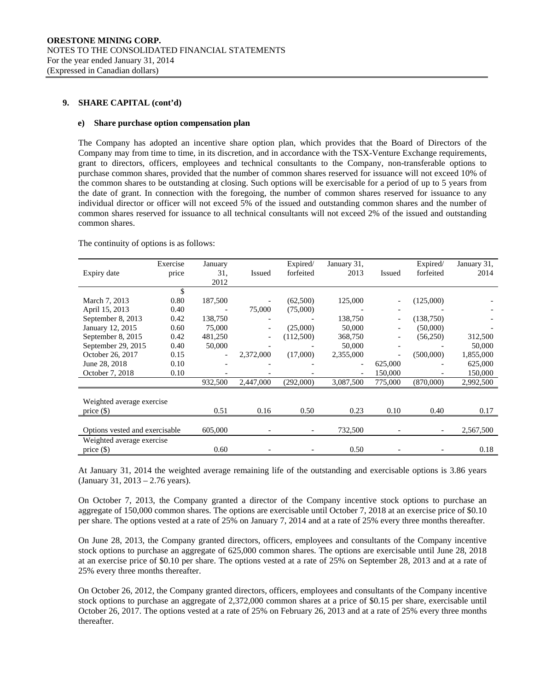# **9. SHARE CAPITAL (cont'd)**

#### **e) Share purchase option compensation plan**

The Company has adopted an incentive share option plan, which provides that the Board of Directors of the Company may from time to time, in its discretion, and in accordance with the TSX-Venture Exchange requirements, grant to directors, officers, employees and technical consultants to the Company, non-transferable options to purchase common shares, provided that the number of common shares reserved for issuance will not exceed 10% of the common shares to be outstanding at closing. Such options will be exercisable for a period of up to 5 years from the date of grant. In connection with the foregoing, the number of common shares reserved for issuance to any individual director or officer will not exceed 5% of the issued and outstanding common shares and the number of common shares reserved for issuance to all technical consultants will not exceed 2% of the issued and outstanding common shares.

|                                | Exercise | January                  |               | Expired/  | January 31,              |                          | Expired/  | January 31, |
|--------------------------------|----------|--------------------------|---------------|-----------|--------------------------|--------------------------|-----------|-------------|
| Expiry date                    | price    | 31.                      | <b>Issued</b> | forfeited | 2013                     | <b>Issued</b>            | forfeited | 2014        |
|                                |          | 2012                     |               |           |                          |                          |           |             |
|                                | \$       |                          |               |           |                          |                          |           |             |
| March 7, 2013                  | 0.80     | 187,500                  |               | (62,500)  | 125,000                  |                          | (125,000) |             |
| April 15, 2013                 | 0.40     |                          | 75,000        | (75,000)  |                          |                          |           |             |
| September 8, 2013              | 0.42     | 138,750                  |               |           | 138,750                  |                          | (138,750) |             |
| January 12, 2015               | 0.60     | 75,000                   |               | (25,000)  | 50,000                   | $\overline{\phantom{a}}$ | (50,000)  |             |
| September 8, 2015              | 0.42     | 481,250                  |               | (112,500) | 368,750                  |                          | (56,250)  | 312,500     |
| September 29, 2015             | 0.40     | 50,000                   |               |           | 50,000                   |                          |           | 50,000      |
| October 26, 2017               | 0.15     | $\overline{\phantom{a}}$ | 2,372,000     | (17,000)  | 2,355,000                |                          | (500,000) | 1,855,000   |
| June 28, 2018                  | 0.10     |                          |               |           |                          | 625,000                  |           | 625,000     |
| October 7, 2018                | 0.10     |                          |               |           | $\overline{\phantom{a}}$ | 150,000                  |           | 150,000     |
|                                |          | 932,500                  | 2,447,000     | (292,000) | 3,087,500                | 775,000                  | (870,000) | 2,992,500   |
|                                |          |                          |               |           |                          |                          |           |             |
| Weighted average exercise      |          |                          |               |           |                          |                          |           |             |
| price $(\$)$                   |          | 0.51                     | 0.16          | 0.50      | 0.23                     | 0.10                     | 0.40      | 0.17        |
|                                |          |                          |               |           |                          |                          |           |             |
| Options vested and exercisable |          | 605,000                  |               |           | 732,500                  |                          |           | 2,567,500   |
| Weighted average exercise      |          |                          |               |           |                          |                          |           |             |
| price $(\$)$                   |          | 0.60                     |               |           | 0.50                     |                          |           | 0.18        |

The continuity of options is as follows:

At January 31, 2014 the weighted average remaining life of the outstanding and exercisable options is 3.86 years (January 31, 2013 – 2.76 years).

On October 7, 2013, the Company granted a director of the Company incentive stock options to purchase an aggregate of 150,000 common shares. The options are exercisable until October 7, 2018 at an exercise price of \$0.10 per share. The options vested at a rate of 25% on January 7, 2014 and at a rate of 25% every three months thereafter.

On June 28, 2013, the Company granted directors, officers, employees and consultants of the Company incentive stock options to purchase an aggregate of 625,000 common shares. The options are exercisable until June 28, 2018 at an exercise price of \$0.10 per share. The options vested at a rate of 25% on September 28, 2013 and at a rate of 25% every three months thereafter.

On October 26, 2012, the Company granted directors, officers, employees and consultants of the Company incentive stock options to purchase an aggregate of 2,372,000 common shares at a price of \$0.15 per share, exercisable until October 26, 2017. The options vested at a rate of 25% on February 26, 2013 and at a rate of 25% every three months thereafter.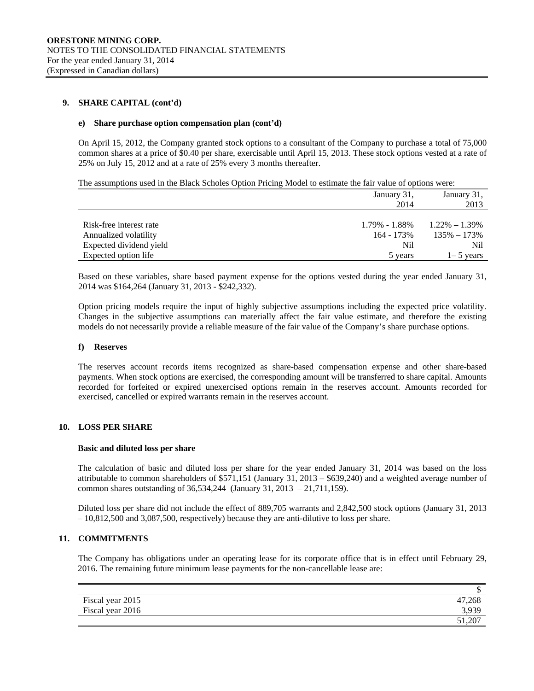# **9. SHARE CAPITAL (cont'd)**

## **e) Share purchase option compensation plan (cont'd)**

On April 15, 2012, the Company granted stock options to a consultant of the Company to purchase a total of 75,000 common shares at a price of \$0.40 per share, exercisable until April 15, 2013. These stock options vested at a rate of 25% on July 15, 2012 and at a rate of 25% every 3 months thereafter.

The assumptions used in the Black Scholes Option Pricing Model to estimate the fair value of options were:

|                         | January 31,   | January 31,       |
|-------------------------|---------------|-------------------|
|                         | 2014          | 2013              |
|                         |               |                   |
| Risk-free interest rate | 1.79% - 1.88% | $1.22\% - 1.39\%$ |
| Annualized volatility   | 164 - 173%    | $135\% - 173\%$   |
| Expected dividend yield | Nil           | Nil               |
| Expected option life    | 5 years       | $1 - 5$ years     |

 Based on these variables, share based payment expense for the options vested during the year ended January 31, 2014 was \$164,264 (January 31, 2013 - \$242,332).

 Option pricing models require the input of highly subjective assumptions including the expected price volatility. Changes in the subjective assumptions can materially affect the fair value estimate, and therefore the existing models do not necessarily provide a reliable measure of the fair value of the Company's share purchase options.

#### **f) Reserves**

The reserves account records items recognized as share-based compensation expense and other share-based payments. When stock options are exercised, the corresponding amount will be transferred to share capital. Amounts recorded for forfeited or expired unexercised options remain in the reserves account. Amounts recorded for exercised, cancelled or expired warrants remain in the reserves account.

# **10. LOSS PER SHARE**

## **Basic and diluted loss per share**

The calculation of basic and diluted loss per share for the year ended January 31, 2014 was based on the loss attributable to common shareholders of \$571,151 (January 31, 2013 – \$639,240) and a weighted average number of common shares outstanding of 36,534,244 (January 31, 2013 – 21,711,159).

Diluted loss per share did not include the effect of 889,705 warrants and 2,842,500 stock options (January 31, 2013 – 10,812,500 and 3,087,500, respectively) because they are anti-dilutive to loss per share.

# **11. COMMITMENTS**

The Company has obligations under an operating lease for its corporate office that is in effect until February 29, 2016. The remaining future minimum lease payments for the non-cancellable lease are:

| Fiscal year 2015 | 47,268 |
|------------------|--------|
| Fiscal year 2016 | 3,939  |
|                  | 51,207 |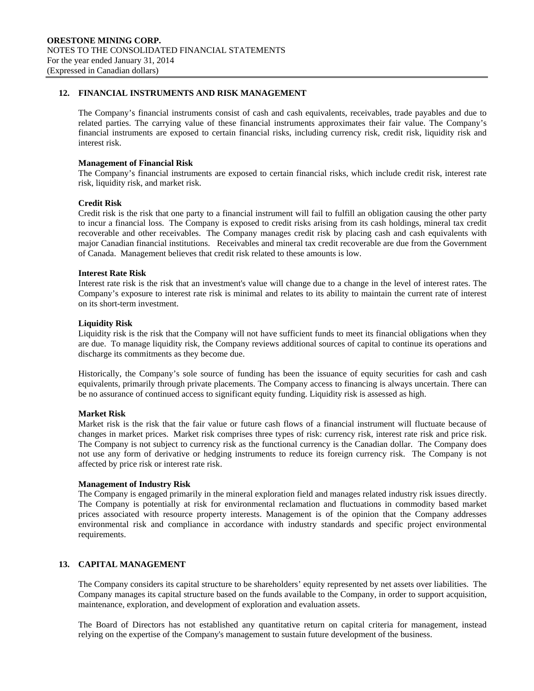# **12. FINANCIAL INSTRUMENTS AND RISK MANAGEMENT**

The Company's financial instruments consist of cash and cash equivalents, receivables, trade payables and due to related parties. The carrying value of these financial instruments approximates their fair value. The Company's financial instruments are exposed to certain financial risks, including currency risk, credit risk, liquidity risk and interest risk.

## **Management of Financial Risk**

The Company's financial instruments are exposed to certain financial risks, which include credit risk, interest rate risk, liquidity risk, and market risk.

# **Credit Risk**

Credit risk is the risk that one party to a financial instrument will fail to fulfill an obligation causing the other party to incur a financial loss. The Company is exposed to credit risks arising from its cash holdings, mineral tax credit recoverable and other receivables. The Company manages credit risk by placing cash and cash equivalents with major Canadian financial institutions. Receivables and mineral tax credit recoverable are due from the Government of Canada. Management believes that credit risk related to these amounts is low.

# **Interest Rate Risk**

Interest rate risk is the risk that an investment's value will change due to a change in the level of interest rates. The Company's exposure to interest rate risk is minimal and relates to its ability to maintain the current rate of interest on its short-term investment.

# **Liquidity Risk**

Liquidity risk is the risk that the Company will not have sufficient funds to meet its financial obligations when they are due. To manage liquidity risk, the Company reviews additional sources of capital to continue its operations and discharge its commitments as they become due.

Historically, the Company's sole source of funding has been the issuance of equity securities for cash and cash equivalents, primarily through private placements. The Company access to financing is always uncertain. There can be no assurance of continued access to significant equity funding. Liquidity risk is assessed as high.

## **Market Risk**

Market risk is the risk that the fair value or future cash flows of a financial instrument will fluctuate because of changes in market prices. Market risk comprises three types of risk: currency risk, interest rate risk and price risk. The Company is not subject to currency risk as the functional currency is the Canadian dollar. The Company does not use any form of derivative or hedging instruments to reduce its foreign currency risk. The Company is not affected by price risk or interest rate risk.

## **Management of Industry Risk**

The Company is engaged primarily in the mineral exploration field and manages related industry risk issues directly. The Company is potentially at risk for environmental reclamation and fluctuations in commodity based market prices associated with resource property interests. Management is of the opinion that the Company addresses environmental risk and compliance in accordance with industry standards and specific project environmental requirements.

# **13. CAPITAL MANAGEMENT**

The Company considers its capital structure to be shareholders' equity represented by net assets over liabilities. The Company manages its capital structure based on the funds available to the Company, in order to support acquisition, maintenance, exploration, and development of exploration and evaluation assets.

The Board of Directors has not established any quantitative return on capital criteria for management, instead relying on the expertise of the Company's management to sustain future development of the business.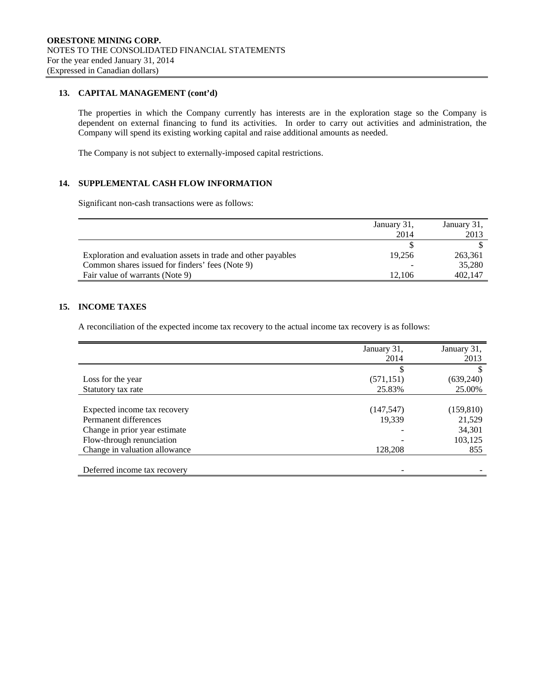# **13. CAPITAL MANAGEMENT (cont'd)**

The properties in which the Company currently has interests are in the exploration stage so the Company is dependent on external financing to fund its activities. In order to carry out activities and administration, the Company will spend its existing working capital and raise additional amounts as needed.

The Company is not subject to externally-imposed capital restrictions.

# **14. SUPPLEMENTAL CASH FLOW INFORMATION**

Significant non-cash transactions were as follows:

|                                                               | January 31, | January 31, |
|---------------------------------------------------------------|-------------|-------------|
|                                                               | 2014        | 2013        |
|                                                               |             |             |
| Exploration and evaluation assets in trade and other payables | 19.256      | 263,361     |
| Common shares issued for finders' fees (Note 9)               |             | 35,280      |
| Fair value of warrants (Note 9)                               | 12.106      | 402.147     |

# **15. INCOME TAXES**

A reconciliation of the expected income tax recovery to the actual income tax recovery is as follows:

|                               | January 31, | January 31, |
|-------------------------------|-------------|-------------|
|                               | 2014        | 2013        |
|                               |             |             |
| Loss for the year             | (571, 151)  | (639, 240)  |
| Statutory tax rate            | 25.83%      | 25.00%      |
|                               |             |             |
| Expected income tax recovery  | (147, 547)  | (159, 810)  |
| Permanent differences         | 19.339      | 21,529      |
| Change in prior year estimate |             | 34,301      |
| Flow-through renunciation     |             | 103,125     |
| Change in valuation allowance | 128,208     | 855         |
|                               |             |             |
| Deferred income tax recovery  |             |             |
|                               |             |             |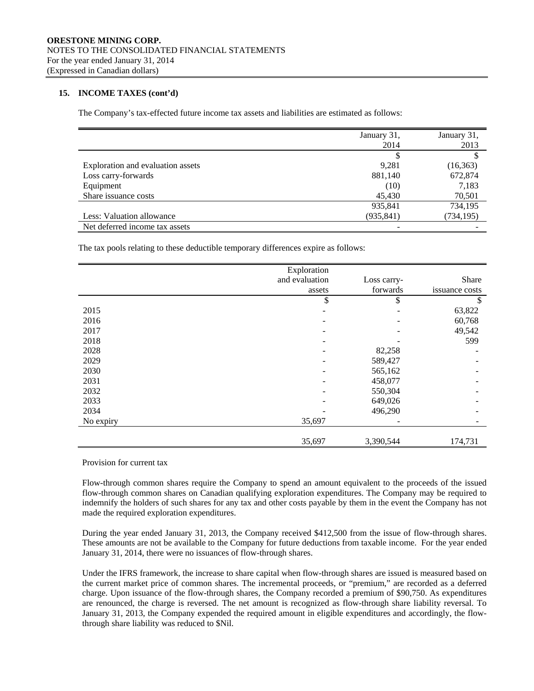# **15. INCOME TAXES (cont'd)**

The Company's tax-effected future income tax assets and liabilities are estimated as follows:

|                                   | January 31, | January 31, |
|-----------------------------------|-------------|-------------|
|                                   | 2014        | 2013        |
|                                   | \$          |             |
| Exploration and evaluation assets | 9,281       | (16,363)    |
| Loss carry-forwards               | 881,140     | 672,874     |
| Equipment                         | (10)        | 7,183       |
| Share issuance costs              | 45,430      | 70,501      |
|                                   | 935,841     | 734,195     |
| Less: Valuation allowance         | (935, 841)  | (734, 195)  |
| Net deferred income tax assets    |             |             |

The tax pools relating to these deductible temporary differences expire as follows:

|           | Exploration<br>and evaluation | Loss carry- | Share          |
|-----------|-------------------------------|-------------|----------------|
|           |                               | forwards    | issuance costs |
|           | assets                        |             |                |
|           | \$                            | \$          | \$             |
| 2015      |                               |             | 63,822         |
| 2016      |                               |             | 60,768         |
| 2017      |                               |             | 49,542         |
| 2018      |                               |             | 599            |
| 2028      |                               | 82,258      |                |
| 2029      |                               | 589,427     |                |
| 2030      |                               | 565,162     |                |
| 2031      |                               | 458,077     |                |
| 2032      |                               | 550,304     |                |
| 2033      |                               | 649,026     |                |
| 2034      |                               | 496,290     |                |
| No expiry | 35,697                        |             |                |
|           |                               |             |                |
|           | 35,697                        | 3,390,544   | 174,731        |

Provision for current tax

Flow-through common shares require the Company to spend an amount equivalent to the proceeds of the issued flow-through common shares on Canadian qualifying exploration expenditures. The Company may be required to indemnify the holders of such shares for any tax and other costs payable by them in the event the Company has not made the required exploration expenditures.

During the year ended January 31, 2013, the Company received \$412,500 from the issue of flow-through shares. These amounts are not be available to the Company for future deductions from taxable income. For the year ended January 31, 2014, there were no issuances of flow-through shares.

Under the IFRS framework, the increase to share capital when flow-through shares are issued is measured based on the current market price of common shares. The incremental proceeds, or "premium," are recorded as a deferred charge. Upon issuance of the flow-through shares, the Company recorded a premium of \$90,750. As expenditures are renounced, the charge is reversed. The net amount is recognized as flow-through share liability reversal. To January 31, 2013, the Company expended the required amount in eligible expenditures and accordingly, the flowthrough share liability was reduced to \$Nil.